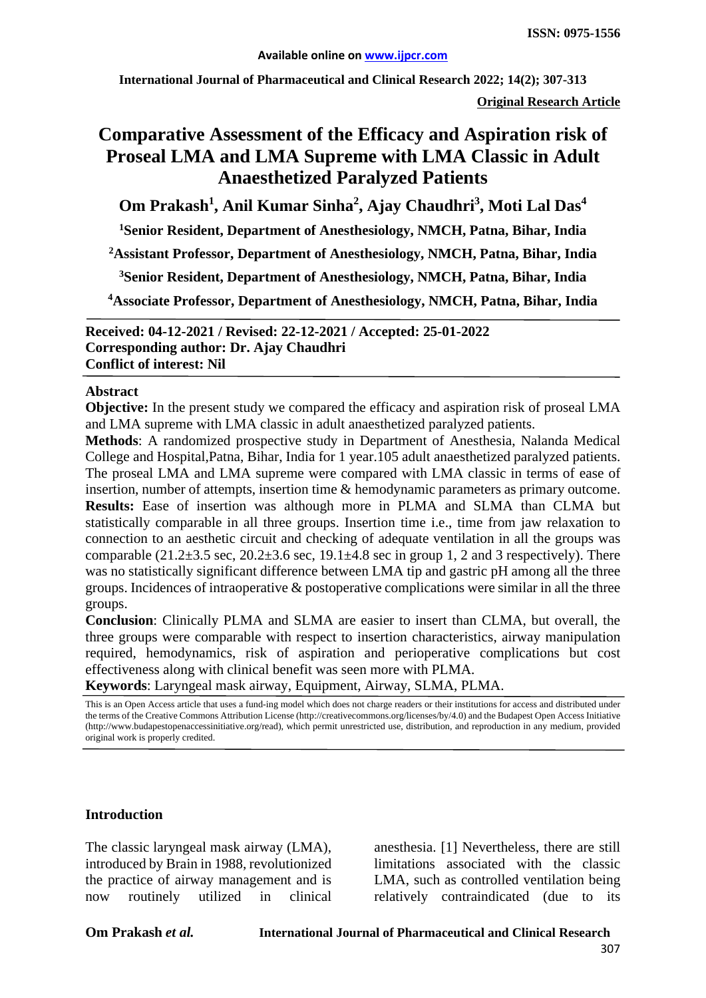**International Journal of Pharmaceutical and Clinical Research 2022; 14(2); 307-313**

**Original Research Article**

# **Comparative Assessment of the Efficacy and Aspiration risk of Proseal LMA and LMA Supreme with LMA Classic in Adult Anaesthetized Paralyzed Patients**

**Om Prakash1 , Anil Kumar Sinha2 , Ajay Chaudhri<sup>3</sup> , Moti Lal Das<sup>4</sup>**

**1 Senior Resident, Department of Anesthesiology, NMCH, Patna, Bihar, India**

**2 Assistant Professor, Department of Anesthesiology, NMCH, Patna, Bihar, India**

**3Senior Resident, Department of Anesthesiology, NMCH, Patna, Bihar, India**

**4Associate Professor, Department of Anesthesiology, NMCH, Patna, Bihar, India**

**Received: 04-12-2021 / Revised: 22-12-2021 / Accepted: 25-01-2022 Corresponding author: Dr. Ajay Chaudhri Conflict of interest: Nil**

#### **Abstract**

**Objective:** In the present study we compared the efficacy and aspiration risk of proseal LMA and LMA supreme with LMA classic in adult anaesthetized paralyzed patients.

**Methods**: A randomized prospective study in Department of Anesthesia, Nalanda Medical College and Hospital,Patna, Bihar, India for 1 year.105 adult anaesthetized paralyzed patients. The proseal LMA and LMA supreme were compared with LMA classic in terms of ease of insertion, number of attempts, insertion time & hemodynamic parameters as primary outcome. **Results:** Ease of insertion was although more in PLMA and SLMA than CLMA but statistically comparable in all three groups. Insertion time i.e., time from jaw relaxation to connection to an aesthetic circuit and checking of adequate ventilation in all the groups was comparable  $(21.2\pm 3.5 \text{ sec}, 20.2\pm 3.6 \text{ sec}, 19.1\pm 4.8 \text{ sec}$  in group 1, 2 and 3 respectively). There was no statistically significant difference between LMA tip and gastric pH among all the three groups. Incidences of intraoperative & postoperative complications were similar in all the three groups.

**Conclusion**: Clinically PLMA and SLMA are easier to insert than CLMA, but overall, the three groups were comparable with respect to insertion characteristics, airway manipulation required, hemodynamics, risk of aspiration and perioperative complications but cost effectiveness along with clinical benefit was seen more with PLMA.

**Keywords**: Laryngeal mask airway, Equipment, Airway, SLMA, PLMA.

#### **Introduction**

The classic laryngeal mask airway (LMA), introduced by Brain in 1988, revolutionized the practice of airway management and is now routinely utilized in clinical

anesthesia. [1] Nevertheless, there are still limitations associated with the classic LMA, such as controlled ventilation being relatively contraindicated (due to its

This is an Open Access article that uses a fund-ing model which does not charge readers or their institutions for access and distributed under the terms of the Creative Commons Attribution License (http://creativecommons.org/licenses/by/4.0) and the Budapest Open Access Initiative (http://www.budapestopenaccessinitiative.org/read), which permit unrestricted use, distribution, and reproduction in any medium, provided original work is properly credited.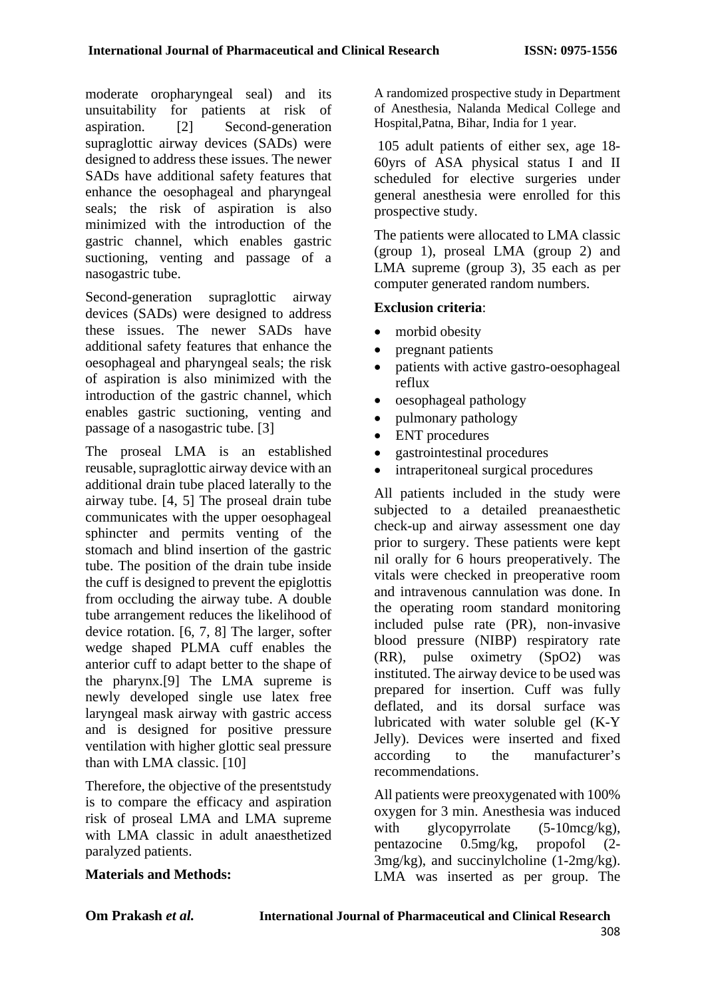moderate oropharyngeal seal) and its unsuitability for patients at risk of aspiration. [2] Second-generation supraglottic airway devices (SADs) were designed to address these issues. The newer SADs have additional safety features that enhance the oesophageal and pharyngeal seals; the risk of aspiration is also minimized with the introduction of the gastric channel, which enables gastric suctioning, venting and passage of a nasogastric tube.

Second-generation supraglottic airway devices (SADs) were designed to address these issues. The newer SADs have additional safety features that enhance the oesophageal and pharyngeal seals; the risk of aspiration is also minimized with the introduction of the gastric channel, which enables gastric suctioning, venting and passage of a nasogastric tube. [3]

The proseal LMA is an established reusable, supraglottic airway device with an additional drain tube placed laterally to the airway tube. [4, 5] The proseal drain tube communicates with the upper oesophageal sphincter and permits venting of the stomach and blind insertion of the gastric tube. The position of the drain tube inside the cuff is designed to prevent the epiglottis from occluding the airway tube. A double tube arrangement reduces the likelihood of device rotation. [6, 7, 8] The larger, softer wedge shaped PLMA cuff enables the anterior cuff to adapt better to the shape of the pharynx.[9] The LMA supreme is newly developed single use latex free laryngeal mask airway with gastric access and is designed for positive pressure ventilation with higher glottic seal pressure than with LMA classic. [10]

Therefore, the objective of the presentstudy is to compare the efficacy and aspiration risk of proseal LMA and LMA supreme with LMA classic in adult anaesthetized paralyzed patients.

A randomized prospective study in Department of Anesthesia, Nalanda Medical College and Hospital,Patna, Bihar, India for 1 year.

105 adult patients of either sex, age 18- 60yrs of ASA physical status I and II scheduled for elective surgeries under general anesthesia were enrolled for this prospective study.

The patients were allocated to LMA classic (group 1), proseal LMA (group 2) and LMA supreme (group 3), 35 each as per computer generated random numbers.

## **Exclusion criteria**:

- morbid obesity
- pregnant patients
- patients with active gastro-oesophageal reflux
- oesophageal pathology
- pulmonary pathology
- ENT procedures
- gastrointestinal procedures
- intraperitoneal surgical procedures

All patients included in the study were subjected to a detailed preanaesthetic check-up and airway assessment one day prior to surgery. These patients were kept nil orally for 6 hours preoperatively. The vitals were checked in preoperative room and intravenous cannulation was done. In the operating room standard monitoring included pulse rate (PR), non-invasive blood pressure (NIBP) respiratory rate (RR), pulse oximetry (SpO2) was instituted. The airway device to be used was prepared for insertion. Cuff was fully deflated, and its dorsal surface was lubricated with water soluble gel (K-Y Jelly). Devices were inserted and fixed according to the manufacturer's recommendations.

All patients were preoxygenated with 100% oxygen for 3 min. Anesthesia was induced with glycopyrrolate  $(5-10 \text{mcg/kg})$ , pentazocine 0.5mg/kg, propofol (2- 3mg/kg), and succinylcholine (1-2mg/kg). LMA was inserted as per group. The

### **Materials and Methods:**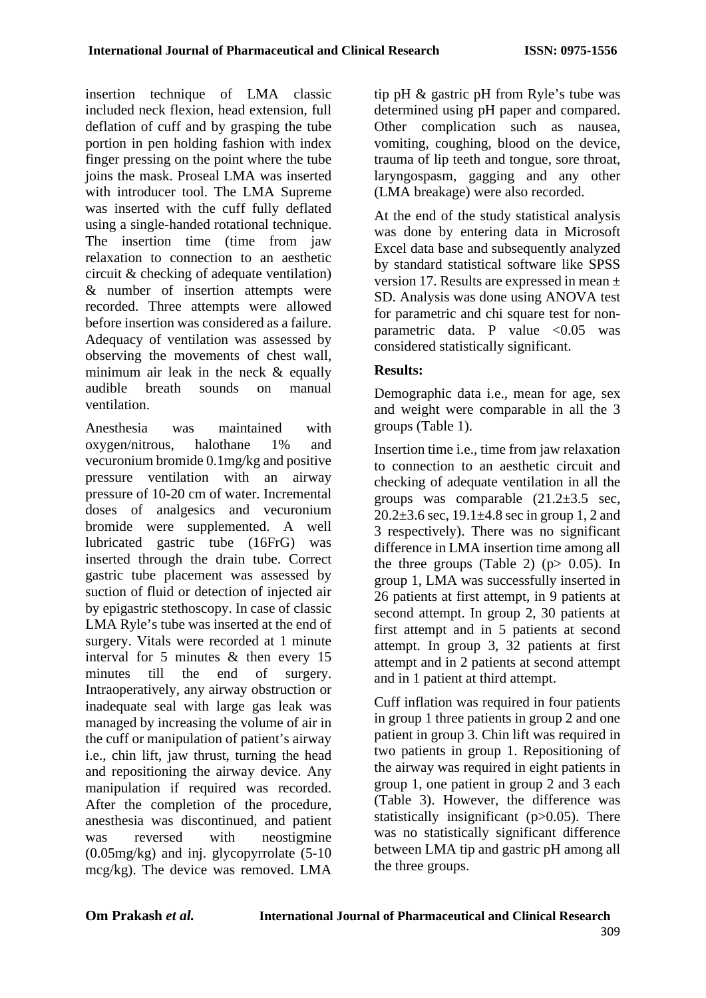insertion technique of LMA classic included neck flexion, head extension, full deflation of cuff and by grasping the tube portion in pen holding fashion with index finger pressing on the point where the tube joins the mask. Proseal LMA was inserted with introducer tool. The LMA Supreme was inserted with the cuff fully deflated using a single-handed rotational technique. The insertion time (time from jaw relaxation to connection to an aesthetic circuit & checking of adequate ventilation) & number of insertion attempts were recorded. Three attempts were allowed before insertion was considered as a failure. Adequacy of ventilation was assessed by observing the movements of chest wall, minimum air leak in the neck  $\&$  equally audible breath sounds on manual ventilation.

Anesthesia was maintained with oxygen/nitrous, halothane 1% and vecuronium bromide 0.1mg/kg and positive pressure ventilation with an airway pressure of 10-20 cm of water. Incremental doses of analgesics and vecuronium bromide were supplemented. A well lubricated gastric tube (16FrG) was inserted through the drain tube. Correct gastric tube placement was assessed by suction of fluid or detection of injected air by epigastric stethoscopy. In case of classic LMA Ryle's tube was inserted at the end of surgery. Vitals were recorded at 1 minute interval for 5 minutes & then every 15 minutes till the end of surgery. Intraoperatively, any airway obstruction or inadequate seal with large gas leak was managed by increasing the volume of air in the cuff or manipulation of patient's airway i.e., chin lift, jaw thrust, turning the head and repositioning the airway device. Any manipulation if required was recorded. After the completion of the procedure, anesthesia was discontinued, and patient was reversed with neostigmine (0.05mg/kg) and inj. glycopyrrolate (5-10 mcg/kg). The device was removed. LMA

tip pH & gastric pH from Ryle's tube was determined using pH paper and compared. Other complication such as nausea, vomiting, coughing, blood on the device, trauma of lip teeth and tongue, sore throat, laryngospasm, gagging and any other (LMA breakage) were also recorded.

At the end of the study statistical analysis was done by entering data in Microsoft Excel data base and subsequently analyzed by standard statistical software like SPSS version 17. Results are expressed in mean ± SD. Analysis was done using ANOVA test for parametric and chi square test for nonparametric data. P value  $\langle 0.05 \rangle$  was considered statistically significant.

# **Results:**

Demographic data i.e., mean for age, sex and weight were comparable in all the 3 groups (Table 1).

Insertion time i.e., time from jaw relaxation to connection to an aesthetic circuit and checking of adequate ventilation in all the groups was comparable  $(21.2\pm3.5 \text{ sec},$  $20.2+3.6$  sec,  $19.1+4.8$  sec in group 1, 2 and 3 respectively). There was no significant difference in LMA insertion time among all the three groups (Table 2) ( $p > 0.05$ ). In group 1, LMA was successfully inserted in 26 patients at first attempt, in 9 patients at second attempt. In group 2, 30 patients at first attempt and in 5 patients at second attempt. In group 3, 32 patients at first attempt and in 2 patients at second attempt and in 1 patient at third attempt.

Cuff inflation was required in four patients in group 1 three patients in group 2 and one patient in group 3. Chin lift was required in two patients in group 1. Repositioning of the airway was required in eight patients in group 1, one patient in group 2 and 3 each (Table 3). However, the difference was statistically insignificant (p>0.05). There was no statistically significant difference between LMA tip and gastric pH among all the three groups.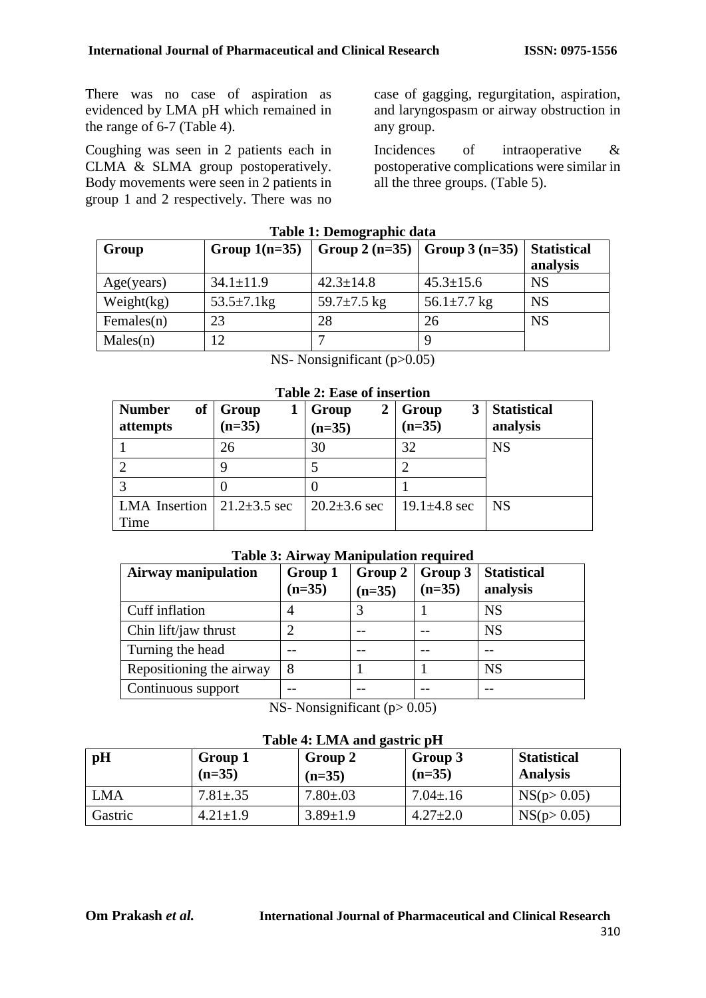There was no case of aspiration as evidenced by LMA pH which remained in the range of 6-7 (Table 4).

Coughing was seen in 2 patients each in CLMA & SLMA group postoperatively. Body movements were seen in 2 patients in group 1 and 2 respectively. There was no case of gagging, regurgitation, aspiration, and laryngospasm or airway obstruction in any group.

Incidences of intraoperative & postoperative complications were similar in all the three groups. (Table 5).

| Table 1: Deniveraphic data |                   |                                 |                   |                                |  |  |
|----------------------------|-------------------|---------------------------------|-------------------|--------------------------------|--|--|
| Group                      | Group $1(n=35)$   | Group 2 (n=35)   Group 3 (n=35) |                   | <b>Statistical</b><br>analysis |  |  |
| Age(years)                 | $34.1 \pm 11.9$   | $42.3 \pm 14.8$                 | $45.3 \pm 15.6$   | <b>NS</b>                      |  |  |
| Weight(kg)                 | $53.5 \pm 7.1$ kg | 59.7 $\pm$ 7.5 kg               | 56.1 $\pm$ 7.7 kg | <b>NS</b>                      |  |  |
| Females $(n)$              | 23                | 28                              | 26                | <b>NS</b>                      |  |  |
| Males(n)                   | 12                |                                 |                   |                                |  |  |

**Table 1: Demographic data**

|  |  | NS- Nonsignificant $(p>0.05)$ |  |
|--|--|-------------------------------|--|
|--|--|-------------------------------|--|

|  |  | <b>Table 2: Ease of insertion</b> |
|--|--|-----------------------------------|
|--|--|-----------------------------------|

| <b>Number</b><br>of<br>attempts | Group<br>$(n=35)$  | 2<br>Group<br>$(n=35)$ | 3<br>Group<br>$(n=35)$ | <b>Statistical</b><br>analysis |
|---------------------------------|--------------------|------------------------|------------------------|--------------------------------|
|                                 | 26                 | 30                     | 32                     | <b>NS</b>                      |
|                                 |                    |                        |                        |                                |
| っ                               |                    |                        |                        |                                |
| <b>LMA</b> Insertion            | $21.2 \pm 3.5$ sec | $20.2 \pm 3.6$ sec     | 19.1 $\pm$ 4.8 sec     | <b>NS</b>                      |
| Time                            |                    |                        |                        |                                |

### **Table 3: Airway Manipulation required**

| <b>Airway manipulation</b> | Group 1<br>$(n=35)$ | Group 2<br>$(n=35)$ | Group 3<br>$(n=35)$ | <b>Statistical</b><br>analysis |
|----------------------------|---------------------|---------------------|---------------------|--------------------------------|
| Cuff inflation             |                     |                     |                     | <b>NS</b>                      |
| Chin lift/jaw thrust       |                     |                     |                     | <b>NS</b>                      |
| Turning the head           |                     |                     |                     |                                |
| Repositioning the airway   | 8                   |                     |                     | <b>NS</b>                      |
| Continuous support         |                     |                     |                     |                                |

NS- Nonsignificant  $(p> 0.05)$ 

|  |  | Table 4: LMA and gastric pH |  |
|--|--|-----------------------------|--|
|  |  |                             |  |

| pH         | Group 1<br>$(n=35)$ | Group 2<br>$(n=35)$ | Group 3<br>$(n=35)$ | <b>Statistical</b><br><b>Analysis</b> |
|------------|---------------------|---------------------|---------------------|---------------------------------------|
| <b>LMA</b> | $7.81 \pm .35$      | $7.80 \pm .03$      | $7.04 \pm 0.16$     | NS(p > 0.05)                          |
| Gastric    | $4.21 \pm 1.9$      | $3.89 \pm 1.9$      | $4.27 \pm 2.0$      | NS(p > 0.05)                          |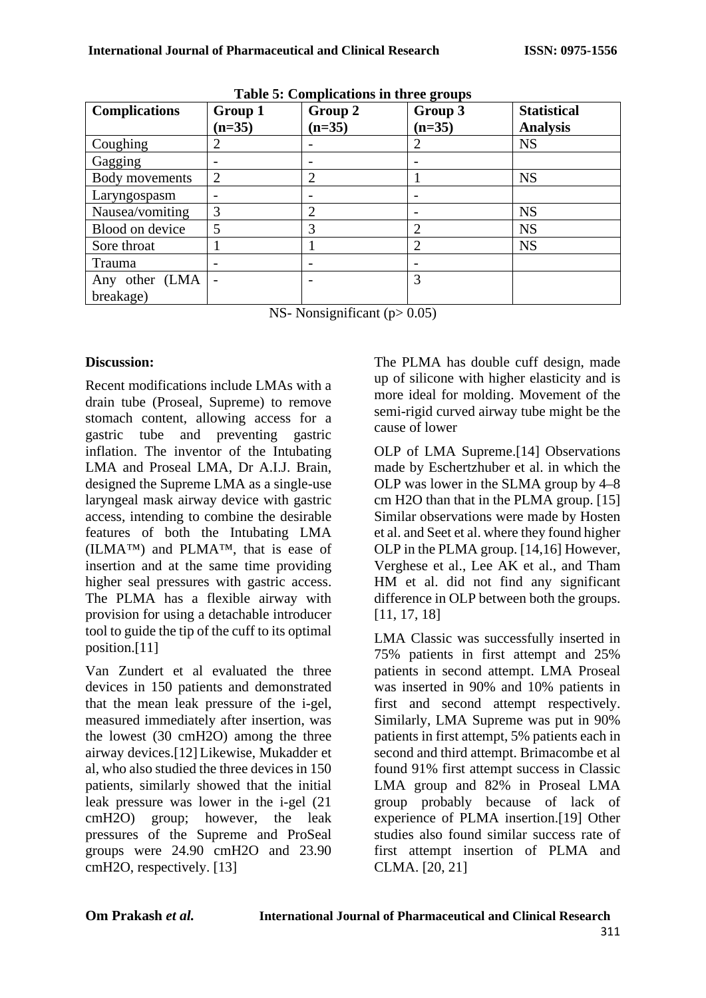| <b>Complications</b> | Group 1                  | Group 2                  | 0<br>Group 3   | <b>Statistical</b> |
|----------------------|--------------------------|--------------------------|----------------|--------------------|
|                      | $(n=35)$                 | $(n=35)$                 | $(n=35)$       | <b>Analysis</b>    |
| Coughing             | $\overline{2}$           | $\overline{\phantom{0}}$ | 2              | <b>NS</b>          |
| Gagging              | $\overline{\phantom{0}}$ |                          |                |                    |
| Body movements       | $\overline{2}$           | 2                        |                | <b>NS</b>          |
| Laryngospasm         |                          |                          |                |                    |
| Nausea/vomiting      | 3                        | 2                        |                | <b>NS</b>          |
| Blood on device      | 5                        | 3                        | $\overline{2}$ | <b>NS</b>          |
| Sore throat          |                          |                          | $\overline{2}$ | <b>NS</b>          |
| Trauma               |                          |                          |                |                    |
| Any other (LMA       |                          |                          | 3              |                    |
| breakage)            |                          |                          |                |                    |

**Table 5: Complications in three groups**

NS- Nonsignificant  $(p> 0.05)$ 

## **Discussion:**

Recent modifications include LMAs with a drain tube (Proseal, Supreme) to remove stomach content, allowing access for a gastric tube and preventing gastric inflation. The inventor of the Intubating LMA and Proseal LMA, Dr A.I.J. Brain, designed the Supreme LMA as a single-use laryngeal mask airway device with gastric access, intending to combine the desirable features of both the Intubating LMA (ILMA™) and PLMA™, that is ease of insertion and at the same time providing higher seal pressures with gastric access. The PLMA has a flexible airway with provision for using a detachable introducer tool to guide the tip of the cuff to its optimal position.[11]

Van Zundert et al evaluated the three devices in 150 patients and demonstrated that the mean leak pressure of the i-gel, measured immediately after insertion, was the lowest (30 cmH2O) among the three airway devices.[12] Likewise, Mukadder et al, who also studied the three devices in 150 patients, similarly showed that the initial leak pressure was lower in the i-gel (21 cmH2O) group; however, the leak pressures of the Supreme and ProSeal groups were 24.90 cmH2O and 23.90 cmH2O, respectively. [13]

The PLMA has double cuff design, made up of silicone with higher elasticity and is more ideal for molding. Movement of the semi-rigid curved airway tube might be the cause of lower

OLP of LMA Supreme.[14] Observations made by Eschertzhuber et al. in which the OLP was lower in the SLMA group by 4–8 cm H2O than that in the PLMA group. [15] Similar observations were made by Hosten et al. and Seet et al. where they found higher OLP in the PLMA group. [14,16] However, Verghese et al., Lee AK et al., and Tham HM et al. did not find any significant difference in OLP between both the groups. [11, 17, 18]

LMA Classic was successfully inserted in 75% patients in first attempt and 25% patients in second attempt. LMA Proseal was inserted in 90% and 10% patients in first and second attempt respectively. Similarly, LMA Supreme was put in 90% patients in first attempt, 5% patients each in second and third attempt. Brimacombe et al found 91% first attempt success in Classic LMA group and 82% in Proseal LMA group probably because of lack of experience of PLMA insertion.[19] Other studies also found similar success rate of first attempt insertion of PLMA and CLMA. [20, 21]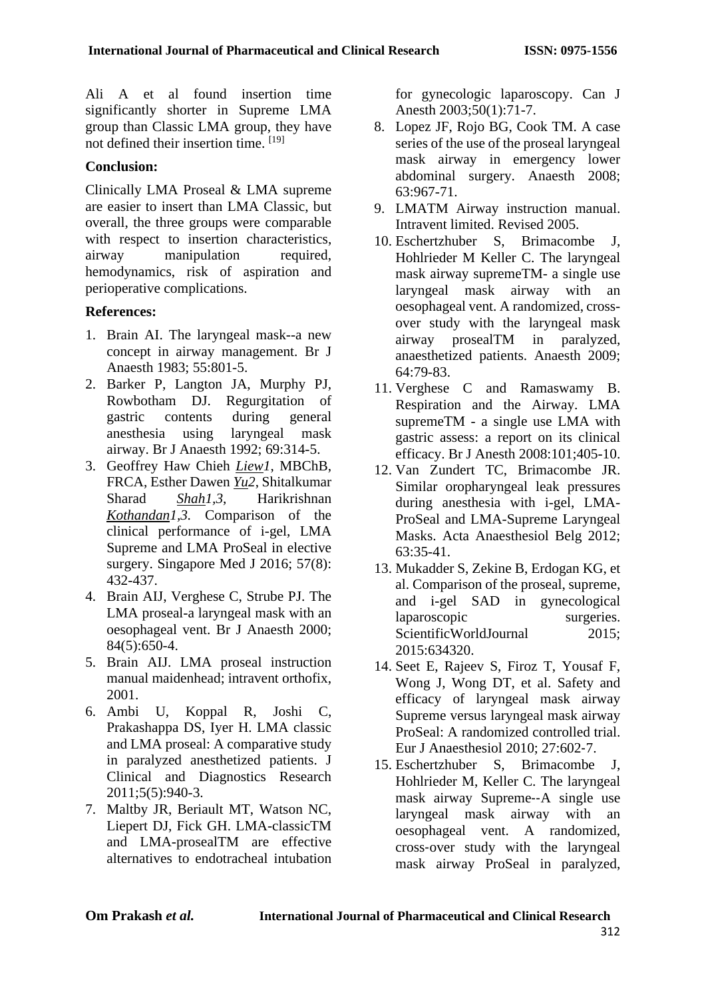Ali A et al found insertion time significantly shorter in Supreme LMA group than Classic LMA group, they have not defined their insertion time. [19]

# **Conclusion:**

Clinically LMA Proseal & LMA supreme are easier to insert than LMA Classic, but overall, the three groups were comparable with respect to insertion characteristics, airway manipulation required, hemodynamics, risk of aspiration and perioperative complications.

# **References:**

- 1. Brain AI. The laryngeal mask--a new concept in airway management. Br J Anaesth 1983; 55:801-5.
- 2. Barker P, Langton JA, Murphy PJ, Rowbotham DJ. Regurgitation of gastric contents during general anesthesia using laryngeal mask airway. Br J Anaesth 1992; 69:314-5.
- 3. Geoffrey Haw Chieh *Liew1*, MBChB, FRCA, Esther Dawen *Yu2*, Shitalkumar Sharad *Shah1,3*, Harikrishnan *Kothandan1,3.* Comparison of the clinical performance of i-gel, LMA Supreme and LMA ProSeal in elective surgery. Singapore Med J 2016; 57(8): 432-437.
- 4. Brain AIJ, Verghese C, Strube PJ. The LMA proseal-a laryngeal mask with an oesophageal vent. Br J Anaesth 2000; 84(5):650-4.
- 5. Brain AIJ. LMA proseal instruction manual maidenhead; intravent orthofix, 2001.
- 6. Ambi U, Koppal R, Joshi C, Prakashappa DS, Iyer H. LMA classic and LMA proseal: A comparative study in paralyzed anesthetized patients. J Clinical and Diagnostics Research 2011;5(5):940-3.
- 7. Maltby JR, Beriault MT, Watson NC, Liepert DJ, Fick GH. LMA-classicTM and LMA-prosealTM are effective alternatives to endotracheal intubation

for gynecologic laparoscopy. Can J Anesth 2003;50(1):71-7.

- 8. Lopez JF, Rojo BG, Cook TM. A case series of the use of the proseal laryngeal mask airway in emergency lower abdominal surgery. Anaesth 2008; 63:967-71.
- 9. LMATM Airway instruction manual. Intravent limited. Revised 2005.
- 10. Eschertzhuber S, Brimacombe J, Hohlrieder M Keller C. The laryngeal mask airway supremeTM- a single use laryngeal mask airway with an oesophageal vent. A randomized, crossover study with the laryngeal mask airway prosealTM in paralyzed, anaesthetized patients. Anaesth 2009; 64:79-83.
- 11. Verghese C and Ramaswamy B. Respiration and the Airway. LMA supremeTM - a single use LMA with gastric assess: a report on its clinical efficacy. Br J Anesth 2008:101;405-10.
- 12. Van Zundert TC, Brimacombe JR. Similar oropharyngeal leak pressures during anesthesia with i-gel, LMA-ProSeal and LMA-Supreme Laryngeal Masks. Acta Anaesthesiol Belg 2012; 63:35-41.
- 13. Mukadder S, Zekine B, Erdogan KG, et al. Comparison of the proseal, supreme, and i-gel SAD in gynecological laparoscopic surgeries. ScientificWorldJournal 2015: 2015:634320.
- 14. Seet E, Rajeev S, Firoz T, Yousaf F, Wong J, Wong DT, et al. Safety and efficacy of laryngeal mask airway Supreme versus laryngeal mask airway ProSeal: A randomized controlled trial. Eur J Anaesthesiol  $2010 \cdot 27 \cdot 602 - 7$ .
- 15. Eschertzhuber S, Brimacombe J, Hohlrieder M, Keller C. The laryngeal mask airway Supreme--A single use laryngeal mask airway with an oesophageal vent. A randomized, cross‑over study with the laryngeal mask airway ProSeal in paralyzed,